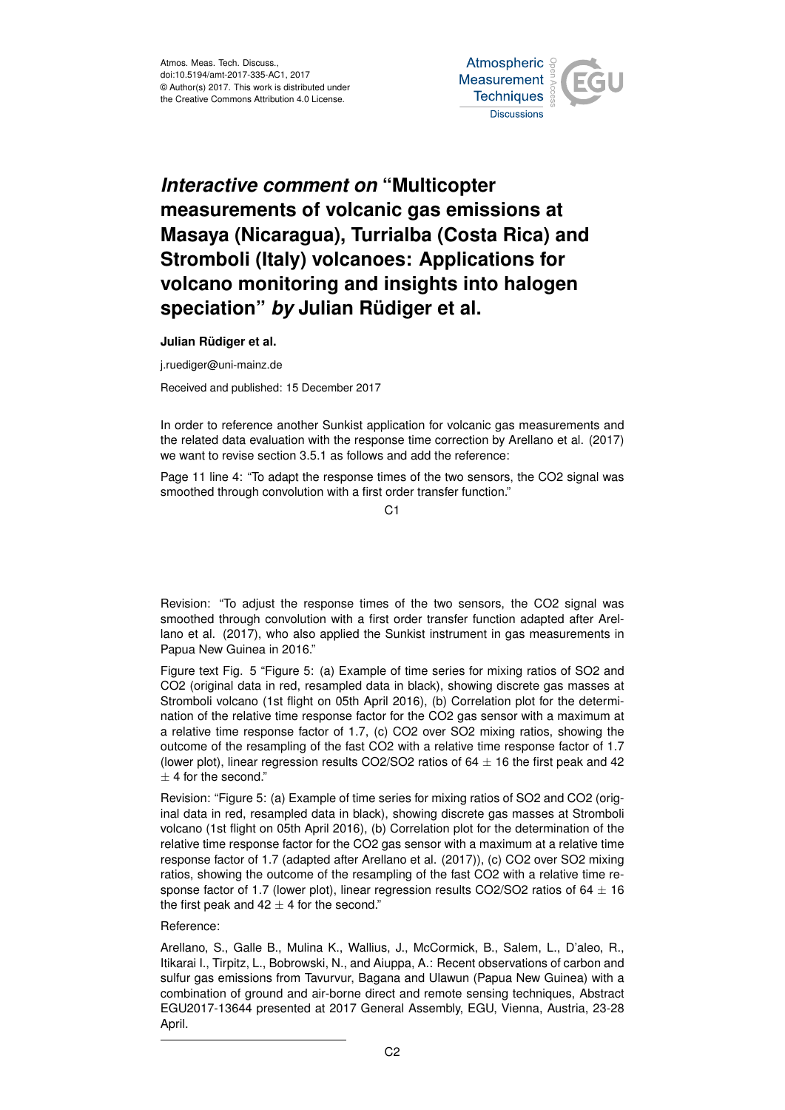

## *Interactive comment on* **"Multicopter measurements of volcanic gas emissions at Masaya (Nicaragua), Turrialba (Costa Rica) and Stromboli (Italy) volcanoes: Applications for volcano monitoring and insights into halogen speciation"** *by* **Julian Rüdiger et al.**

**Julian Rüdiger et al.**

j.ruediger@uni-mainz.de

Received and published: 15 December 2017

In order to reference another Sunkist application for volcanic gas measurements and the related data evaluation with the response time correction by Arellano et al. (2017) we want to revise section 3.5.1 as follows and add the reference:

Page 11 line 4: "To adapt the response times of the two sensors, the CO2 signal was smoothed through convolution with a first order transfer function."

 $C<sub>1</sub>$ 

Revision: "To adjust the response times of the two sensors, the CO2 signal was smoothed through convolution with a first order transfer function adapted after Arellano et al. (2017), who also applied the Sunkist instrument in gas measurements in Papua New Guinea in 2016."

Figure text Fig. 5 "Figure 5: (a) Example of time series for mixing ratios of SO2 and CO2 (original data in red, resampled data in black), showing discrete gas masses at Stromboli volcano (1st flight on 05th April 2016), (b) Correlation plot for the determination of the relative time response factor for the CO2 gas sensor with a maximum at a relative time response factor of 1.7, (c) CO2 over SO2 mixing ratios, showing the outcome of the resampling of the fast CO2 with a relative time response factor of 1.7 (lower plot), linear regression results CO2/SO2 ratios of  $64 \pm 16$  the first peak and 42  $+4$  for the second."

Revision: "Figure 5: (a) Example of time series for mixing ratios of SO2 and CO2 (original data in red, resampled data in black), showing discrete gas masses at Stromboli volcano (1st flight on 05th April 2016), (b) Correlation plot for the determination of the relative time response factor for the CO2 gas sensor with a maximum at a relative time response factor of 1.7 (adapted after Arellano et al. (2017)), (c) CO2 over SO2 mixing ratios, showing the outcome of the resampling of the fast CO2 with a relative time response factor of 1.7 (lower plot), linear regression results CO2/SO2 ratios of  $64 \pm 16$ the first peak and  $42 \pm 4$  for the second."

## Reference:

Arellano, S., Galle B., Mulina K., Wallius, J., McCormick, B., Salem, L., D'aleo, R., Itikarai I., Tirpitz, L., Bobrowski, N., and Aiuppa, A.: Recent observations of carbon and sulfur gas emissions from Tavurvur, Bagana and Ulawun (Papua New Guinea) with a combination of ground and air-borne direct and remote sensing techniques, Abstract EGU2017-13644 presented at 2017 General Assembly, EGU, Vienna, Austria, 23-28 April.